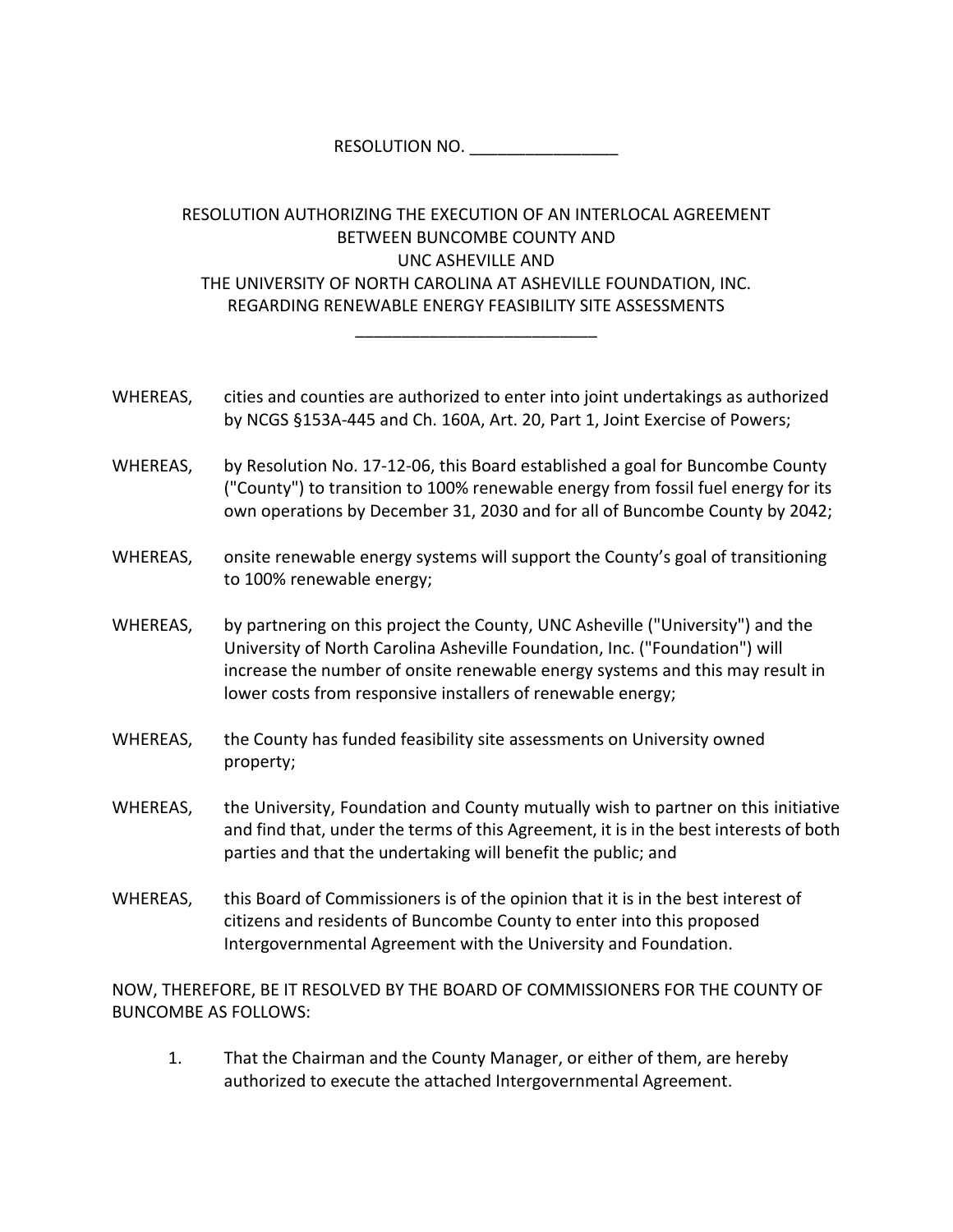RESOLUTION NO. \_\_\_\_\_\_\_\_\_\_\_\_\_\_\_\_

## RESOLUTION AUTHORIZING THE EXECUTION OF AN INTERLOCAL AGREEMENT BETWEEN BUNCOMBE COUNTY AND UNC ASHEVILLE AND THE UNIVERSITY OF NORTH CAROLINA AT ASHEVILLE FOUNDATION, INC. REGARDING RENEWABLE ENERGY FEASIBILITY SITE ASSESSMENTS

\_\_\_\_\_\_\_\_\_\_\_\_\_\_\_\_\_\_\_\_\_\_\_\_\_\_

- WHEREAS, cities and counties are authorized to enter into joint undertakings as authorized by NCGS §153A‐445 and Ch. 160A, Art. 20, Part 1, Joint Exercise of Powers;
- WHEREAS, by Resolution No. 17-12-06, this Board established a goal for Buncombe County ("County") to transition to 100% renewable energy from fossil fuel energy for its own operations by December 31, 2030 and for all of Buncombe County by 2042;
- WHEREAS, onsite renewable energy systems will support the County's goal of transitioning to 100% renewable energy;
- WHEREAS, by partnering on this project the County, UNC Asheville ("University") and the University of North Carolina Asheville Foundation, Inc. ("Foundation") will increase the number of onsite renewable energy systems and this may result in lower costs from responsive installers of renewable energy;
- WHEREAS, the County has funded feasibility site assessments on University owned property;
- WHEREAS, the University, Foundation and County mutually wish to partner on this initiative and find that, under the terms of this Agreement, it is in the best interests of both parties and that the undertaking will benefit the public; and
- WHEREAS, this Board of Commissioners is of the opinion that it is in the best interest of citizens and residents of Buncombe County to enter into this proposed Intergovernmental Agreement with the University and Foundation.

NOW, THEREFORE, BE IT RESOLVED BY THE BOARD OF COMMISSIONERS FOR THE COUNTY OF BUNCOMBE AS FOLLOWS:

1. That the Chairman and the County Manager, or either of them, are hereby authorized to execute the attached Intergovernmental Agreement.